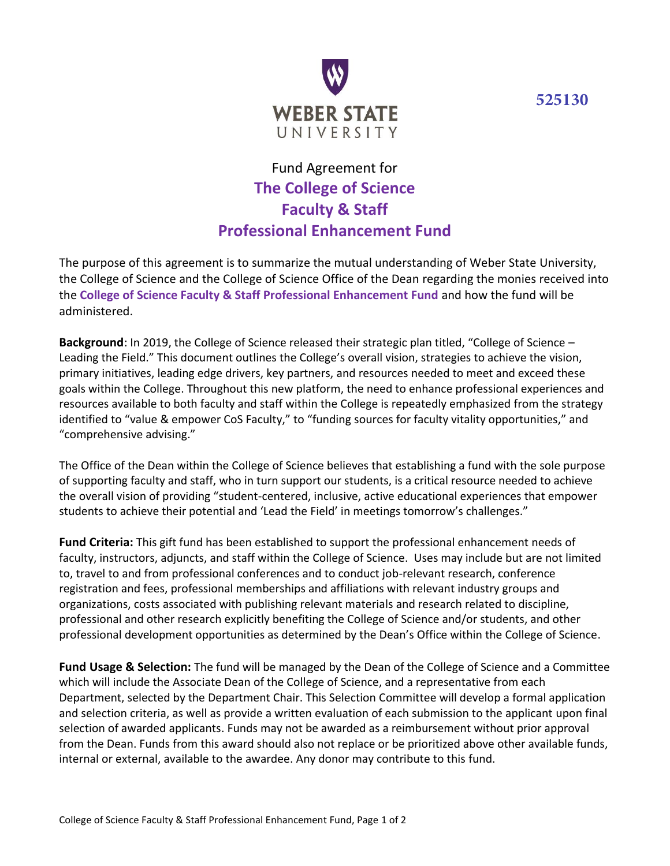**525130**



## Fund Agreement for **The College of Science Faculty & Staff Professional Enhancement Fund**

The purpose of this agreement is to summarize the mutual understanding of Weber State University, the College of Science and the College of Science Office of the Dean regarding the monies received into the **College of Science Faculty & Staff Professional Enhancement Fund** and how the fund will be administered.

**Background**: In 2019, the College of Science released their strategic plan titled, "College of Science – Leading the Field." This document outlines the College's overall vision, strategies to achieve the vision, primary initiatives, leading edge drivers, key partners, and resources needed to meet and exceed these goals within the College. Throughout this new platform, the need to enhance professional experiences and resources available to both faculty and staff within the College is repeatedly emphasized from the strategy identified to "value & empower CoS Faculty," to "funding sources for faculty vitality opportunities," and "comprehensive advising."

The Office of the Dean within the College of Science believes that establishing a fund with the sole purpose of supporting faculty and staff, who in turn support our students, is a critical resource needed to achieve the overall vision of providing "student-centered, inclusive, active educational experiences that empower students to achieve their potential and 'Lead the Field' in meetings tomorrow's challenges."

**Fund Criteria:** This gift fund has been established to support the professional enhancement needs of faculty, instructors, adjuncts, and staff within the College of Science. Uses may include but are not limited to, travel to and from professional conferences and to conduct job-relevant research, conference registration and fees, professional memberships and affiliations with relevant industry groups and organizations, costs associated with publishing relevant materials and research related to discipline, professional and other research explicitly benefiting the College of Science and/or students, and other professional development opportunities as determined by the Dean's Office within the College of Science.

**Fund Usage & Selection:** The fund will be managed by the Dean of the College of Science and a Committee which will include the Associate Dean of the College of Science, and a representative from each Department, selected by the Department Chair. This Selection Committee will develop a formal application and selection criteria, as well as provide a written evaluation of each submission to the applicant upon final selection of awarded applicants. Funds may not be awarded as a reimbursement without prior approval from the Dean. Funds from this award should also not replace or be prioritized above other available funds, internal or external, available to the awardee. Any donor may contribute to this fund.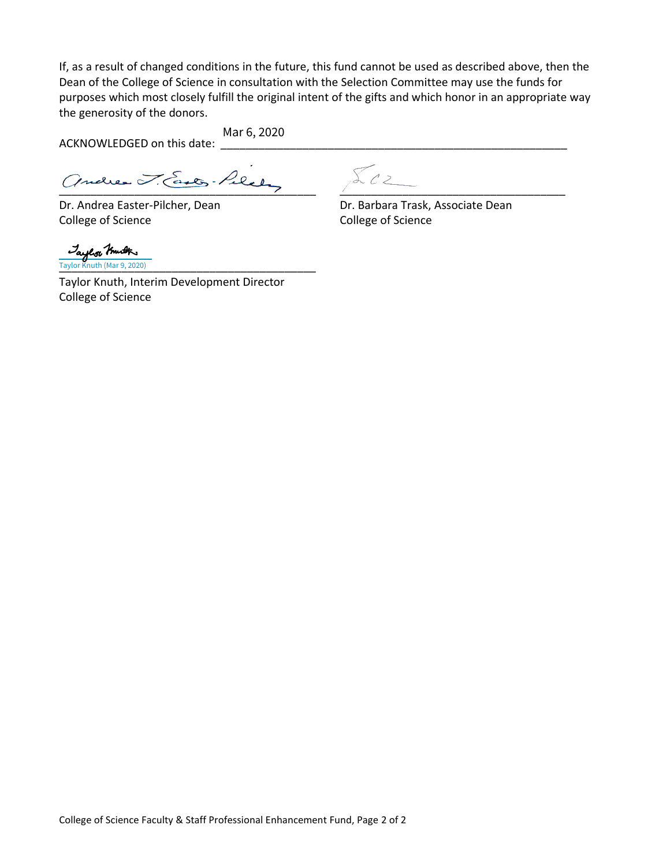If, as a result of changed conditions in the future, this fund cannot be used as described above, then the Dean of the College of Science in consultation with the Selection Committee may use the funds for purposes which most closely fulfill the original intent of the gifts and which honor in an appropriate way the generosity of the donors.

ACKNOWLEDGED on this date: Mar 6, 2020

Andres J. Easter-Pilety \_ 5.02

College of Science College of Science

 $\sum_{C}$ 

Dr. Andrea Easter-Pilcher, Dean Dr. Barbara Trask, Associate Dean

\_\_\_\_\_\_\_\_\_\_\_\_\_\_\_\_\_\_\_\_\_\_\_\_\_\_\_\_\_\_\_\_\_\_\_\_\_\_\_\_\_ Taylor Knuth (Mar 9, 2020)

Taylor Knuth, Interim Development Director College of Science